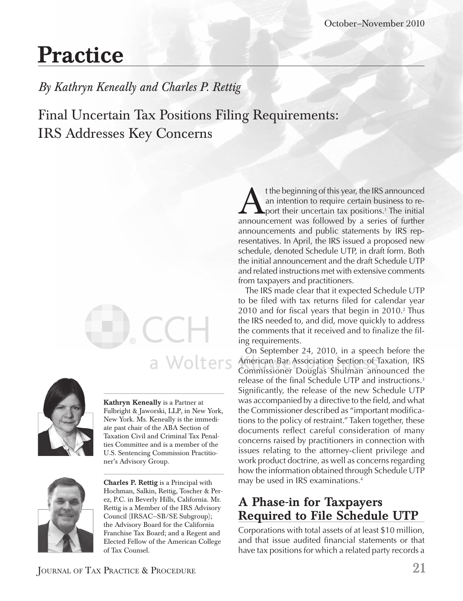# **Practice**

*By Kathryn Keneally and Charles P. Rettig*

Final Uncertain Tax Positions Filing Requirements: IRS Addresses Key Concerns



**Kathryn Keneally** is a Partner at Fulbright & Jaworski, LLP, in New York, New York. Ms. Keneally is the immediate past chair of the ABA Section of Taxation Civil and Criminal Tax Penalties Committee and is a member of the U.S. Sentencing Commission Practitioner's Advisory Group.

a Wolters



**Charles P. Rettig** is a Principal with Hochman, Salkin, Rettig, Toscher & Perez, P.C. in Beverly Hills, California. Mr. Rettig is a Member of the IRS Advisory Council (IRSAC—SB/SE Subgroup); the Advisory Board for the California Franchise Tax Board; and a Regent and Elected Fellow of the American College of Tax Counsel.

the beginning of this year, the IRS announced<br>an intention to require certain business to re-<br>port their uncertain tax positions.<sup>1</sup> The initial<br>announcement was followed by a series of further an intention to require certain business to report their uncertain tax positions.1 The initial announcement was followed by a series of further announcements and public statements by IRS representatives. In April, the IRS issued a proposed new schedule, denoted Schedule UTP, in draft form. Both the initial announcement and the draft Schedule UTP and related instructions met with extensive comments from taxpayers and practitioners.

The IRS made clear that it expected Schedule UTP to be filed with tax returns filed for calendar year 2010 and for fiscal years that begin in 2010.<sup>2</sup> Thus the IRS needed to, and did, move quickly to address the comments that it received and to finalize the filing requirements.

On September 24, 2010, in a speech before the American Bar Association Section of Taxation, IRS Commissioner Douglas Shulman announced the release of the final Schedule UTP and instructions.<sup>3</sup> Significantly, the release of the new Schedule UTP was accompanied by a directive to the field, and what the Commissioner described as "important modifications to the policy of restraint." Taken together, these documents reflect careful consideration of many concerns raised by practitioners in connection with issues relating to the attorney-client privilege and work product doctrine, as well as concerns regarding how the information obtained through Schedule UTP may be used in IRS examinations.4

#### **A Phase-in for Taxpayers Required to File Schedule UTP**

Corporations with total assets of at least \$10 million, and that issue audited financial statements or that have tax positions for which a related party records a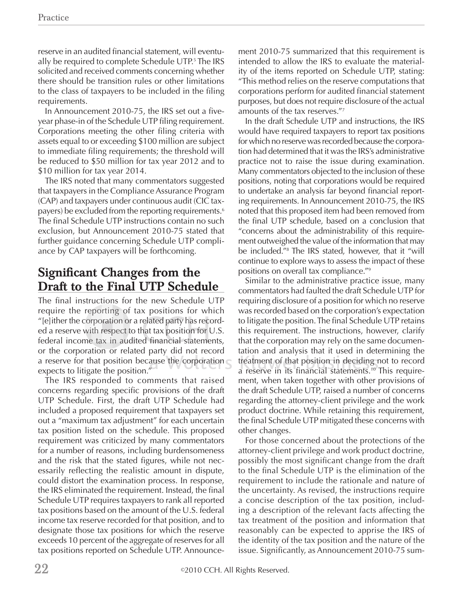reserve in an audited financial statement, will eventually be required to complete Schedule UTP.5 The IRS solicited and received comments concerning whether there should be transition rules or other limitations to the class of taxpayers to be included in the filing requirements.

In Announcement 2010-75, the IRS set out a fiveyear phase-in of the Schedule UTP filing requirement. Corporations meeting the other filing criteria with assets equal to or exceeding \$100 million are subject to immediate filing requirements; the threshold will be reduced to \$50 million for tax year 2012 and to \$10 million for tax year 2014.

The IRS noted that many commentators suggested that taxpayers in the Compliance Assurance Program (CAP) and taxpayers under continuous audit (CIC taxpayers) be excluded from the reporting requirements.<sup>6</sup> The final Schedule UTP instructions contain no such exclusion, but Announcement 2010-75 stated that further guidance concerning Schedule UTP compliance by CAP taxpayers will be forthcoming.

#### **Significant Changes from the Draft to the Final UTP Schedule**

The final instructions for the new Schedule UTP require the reporting of tax positions for which require the reporting of tax positions for which<br>"[e]ither the corporation or a related party has recorded a reserve with respect to that tax position for U.S.  $\,$ federal income tax in audited financial statements, or the corporation or related party did not record a reserve for that position because the corporation  $\subset$  treatment of expects to litigate the position." "

The IRS responded to comments that raised concerns regarding specific provisions of the draft UTP Schedule. First, the draft UTP Schedule had included a proposed requirement that taxpayers set out a "maximum tax adjustment" for each uncertain tax position listed on the schedule. This proposed requirement was criticized by many commentators for a number of reasons, including burdensomeness and the risk that the stated figures, while not necessarily reflecting the realistic amount in dispute, could distort the examination process. In response, the IRS eliminated the requirement. Instead, the final Schedule UTP requires taxpayers to rank all reported tax positions based on the amount of the U.S. federal income tax reserve recorded for that position, and to designate those tax positions for which the reserve exceeds 10 percent of the aggregate of reserves for all tax positions reported on Schedule UTP. Announcement 2010-75 summarized that this requirement is intended to allow the IRS to evaluate the materiality of the items reported on Schedule UTP, stating: "This method relies on the reserve computations that corporations perform for audited financial statement purposes, but does not require disclosure of the actual amounts of the tax reserves."7

In the draft Schedule UTP and instructions, the IRS would have required taxpayers to report tax positions for which no reserve was recorded because the corporation had determined that it was the IRS's administrative practice not to raise the issue during examination. Many commentators objected to the inclusion of these positions, noting that corporations would be required to undertake an analysis far beyond financial reporting requirements. In Announcement 2010-75, the IRS noted that this proposed item had been removed from the final UTP schedule, based on a conclusion that "concerns about the administrability of this requirement outweighed the value of the information that may be included."8 The IRS stated, however, that it "will continue to explore ways to assess the impact of these positions on overall tax compliance."9

Similar to the administrative practice issue, many commentators had faulted the draft Schedule UTP for requiring disclosure of a position for which no reserve was recorded based on the corporation's expectation to litigate the position. The final Schedule UTP retains this requirement. The instructions, however, clarify that the corporation may rely on the same documentation and analysis that it used in determining the treatment of that position in deciding not to record a reserve in its financial statements.<sup>10</sup> This requirement, when taken together with other provisions of the draft Schedule UTP, raised a number of concerns regarding the attorney-client privilege and the work product doctrine. While retaining this requirement, the final Schedule UTP mitigated these concerns with other changes.

For those concerned about the protections of the attorney-client privilege and work product doctrine, possibly the most significant change from the draft to the final Schedule UTP is the elimination of the requirement to include the rationale and nature of the uncertainty. As revised, the instructions require a concise description of the tax position, including a description of the relevant facts affecting the tax treatment of the position and information that reasonably can be expected to apprise the IRS of the identity of the tax position and the nature of the issue. Significantly, as Announcement 2010-75 sum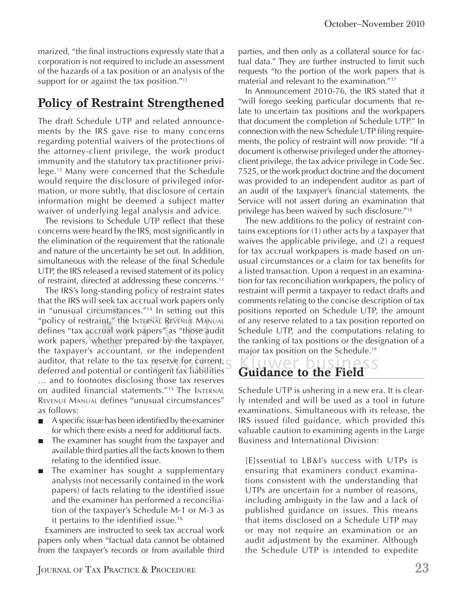marized, "the final instructions expressly state that a corporation is not required to include an assessment of the hazards of a tax position or an analysis of the support for or against the tax position."<sup>11</sup>

### **Policy of Restraint Strengthened**

The draft Schedule UTP and related announcements by the IRS gave rise to many concerns regarding potential waivers of the protections of the attorney-client privilege, the work product immunity and the statutory tax practitioner privilege.12 Many were concerned that the Schedule would require the disclosure of privileged information, or more subtly, that disclosure of certain information might be deemed a subject matter waiver of underlying legal analysis and advice.

The revisions to Schedule UTP reflect that these concerns were heard by the IRS, most significantly in the elimination of the requirement that the rationale and nature of the uncertainty be set out. In addition, simultaneous with the release of the final Schedule UTP, the IRS released a revised statement of its policy of restraint, directed at addressing these concerns.13

The IRS's long-standing policy of restraint states that the IRS will seek tax accrual work papers only in "unusual circumstances." $14}$  In setting out this in "unusual circumstances."<sup>14</sup> In setting out this<br>"policy of restraint," the Internal Revenue Manual defines "tax accrual work papers" as "those audit work papers, whether prepared by the taxpayer, the taxpayer's accountant, or the independent auditor, that relate to the tax reserve for current,  $\epsilon$ deferred and potential or contingent tax liabilities … and to footnotes disclosing those tax reserves on audited financial statements."15 The INTERNAL REVENUE MANUAL defines "unusual circumstances" as follows: ircumstances."<sup>14</sup> In setting out this positions reported on Schedule Uraint," the INTERNAL REVENUE MANUAL of any reserve related to a tax position corrual work papers" as "those audit Schedule UTP, and the computa whether

- A specific issue has been identified by the examiner  $\overline{\phantom{a}}$ for which there exists a need for additional facts.
- The examiner has sought from the taxpayer and П available third parties all the facts known to them relating to the identified issue.
- The examiner has sought a supplementary  $\blacksquare$ analysis (not necessarily contained in the work papers) of facts relating to the identified issue and the examiner has performed a reconciliation of the taxpayer's Schedule M-1 or M-3 as it pertains to the identified issue.<sup>16</sup>

Examiners are instructed to seek tax accrual work papers only when "factual data cannot be obtained from the taxpayer's records or from available third parties, and then only as a collateral source for factual data." They are further instructed to limit such requests "to the portion of the work papers that is material and relevant to the examination."17

In Announcement 2010-76, the IRS stated that it "will forego seeking particular documents that relate to uncertain tax positions and the workpapers that document the completion of Schedule UTP." In connection with the new Schedule UTP filing requirements, the policy of restraint will now provide: "If a document is otherwise privileged under the attorneyclient privilege, the tax advice privilege in Code Sec. 7525, or the work product doctrine and the document was provided to an independent auditor as part of an audit of the taxpayer's financial statements, the Service will not assert during an examination that privilege has been waived by such disclosure."18

The new additions to the policy of restraint contains exceptions for (1) other acts by a taxpayer that waives the applicable privilege, and (2) a request for tax accrual workpapers is made based on unusual circumstances or a claim for tax benefits for a listed transaction. Upon a request in an examination for tax reconciliation workpapers, the policy of restraint will permit a taxpayer to redact drafts and comments relating to the concise description of tax positions reported on Schedule UTP, the amount of any reserve related to a tax position reported on Schedule UTP, and the computations relating to the ranking of tax positions or the designation of a major tax position on the Schedule.<sup>19</sup>

## **Guidance to the Field**

Schedule UTP is ushering in a new era. It is clearly intended and will be used as a tool in future examinations. Simultaneous with its release, the IRS issued filed guidance, which provided this valuable caution to examining agents in the Large Business and International Division:

[E]ssential to LB&I's success with UTPs is ensuring that examiners conduct examinations consistent with the understanding that UTPs are uncertain for a number of reasons, including ambiguity in the law and a lack of published guidance on issues. This means that items disclosed on a Schedule UTP may or may not require an examination or an audit adjustment by the examiner. Although the Schedule UTP is intended to expedite